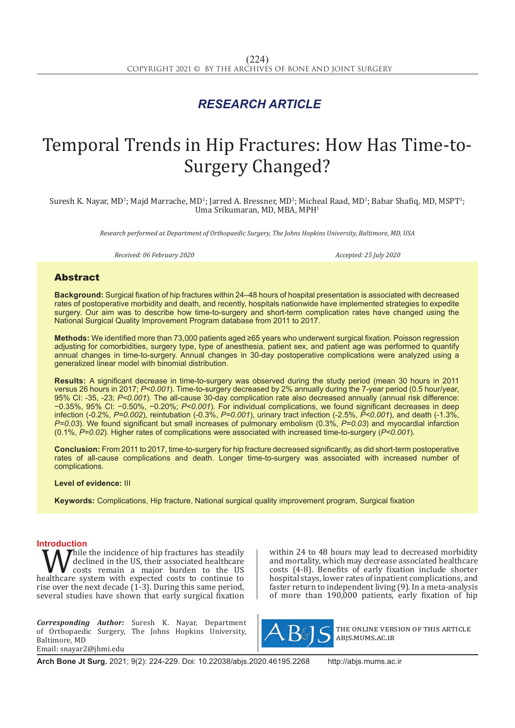## *RESEARCH ARTICLE*

# Temporal Trends in Hip Fractures: How Has Time-to-Surgery Changed?

Suresh K. Nayar, MD<sup>1</sup>; Majd Marrache, MD<sup>1</sup>; Jarred A. Bressner, MD<sup>1</sup>; Micheal Raad, MD<sup>1</sup>; Babar Shafiq, MD, MSPT<sup>1</sup>; Uma Srikumaran, MD, MBA, MPH<sup>1</sup>

*Research performed at Department of Orthopaedic Surgery, The Johns Hopkins University, Baltimore, MD, USA*

*Received: 06 February 2020 Accepted: 25 July 2020*

### Abstract

**Background:** Surgical fixation of hip fractures within 24–48 hours of hospital presentation is associated with decreased rates of postoperative morbidity and death, and recently, hospitals nationwide have implemented strategies to expedite surgery. Our aim was to describe how time-to-surgery and short-term complication rates have changed using the National Surgical Quality Improvement Program database from 2011 to 2017.

**Methods:** We identified more than 73,000 patients aged ≥65 years who underwent surgical fixation. Poisson regression adjusting for comorbidities, surgery type, type of anesthesia, patient sex, and patient age was performed to quantify annual changes in time-to-surgery. Annual changes in 30-day postoperative complications were analyzed using a generalized linear model with binomial distribution.

**Results:** A significant decrease in time-to-surgery was observed during the study period (mean 30 hours in 2011 versus 26 hours in 2017; *P<0.001*). Time-to-surgery decreased by 2% annually during the 7-year period (0.5 hour/year, 95% CI: -35, -23; *P<0.001*). The all-cause 30-day complication rate also decreased annually (annual risk difference: −0.35%, 95% CI: −0.50%, −0.20%; *P<0.001*). For individual complications, we found significant decreases in deep infection (-0.2%, *P=0.002*), reintubation (-0.3%, *P=0.001*), urinary tract infection (-2.5%, *P<0.001*), and death (-1.3%, *P=0.03*). We found significant but small increases of pulmonary embolism (0.3%, *P=0.03*) and myocardial infarction (0.1%, *P=0.02*). Higher rates of complications were associated with increased time-to-surgery (*P<0.001*).

**Conclusion:** From 2011 to 2017, time-to-surgery for hip fracture decreased significantly, as did short-term postoperative rates of all-cause complications and death. Longer time-to-surgery was associated with increased number of complications.

#### **Level of evidence:** III

**Keywords:** Complications, Hip fracture, National surgical quality improvement program, Surgical fixation

**Introduction**<br> **T**  $\Lambda$  Thile the incidence of hip fractures has steadily While the incidence of hip fractures has steadily<br>
costs remain a major burden to the US<br>
healthcare system with expected costs to continue to<br>
rise over the next decade (1-3) During this same period declined in the US, their associated healthcare costs remain a major burden to the US rise over the next decade (1-3). During this same period, several studies have shown that early surgical fixation

*Corresponding Author:* Suresh K. Nayar, Department of Orthopaedic Surgery, The Johns Hopkins University, Baltimore, MD Email: snayar2@jhmi.edu

within 24 to 48 hours may lead to decreased morbidity and mortality, which may decrease associated healthcare costs (4-8). Benefits of early fixation include shorter hospital stays, lower rates of inpatient complications, and faster return to independent living (9). In a meta-analysis of more than 190,000 patients, early fixation of hip



the online version of this article abjs.mums.ac.ir

**Arch Bone Jt Surg.** 2021; 9(2): 224-229. Doi: 10.22038/abjs.2020.46195.2268 http://abjs.mums.ac.ir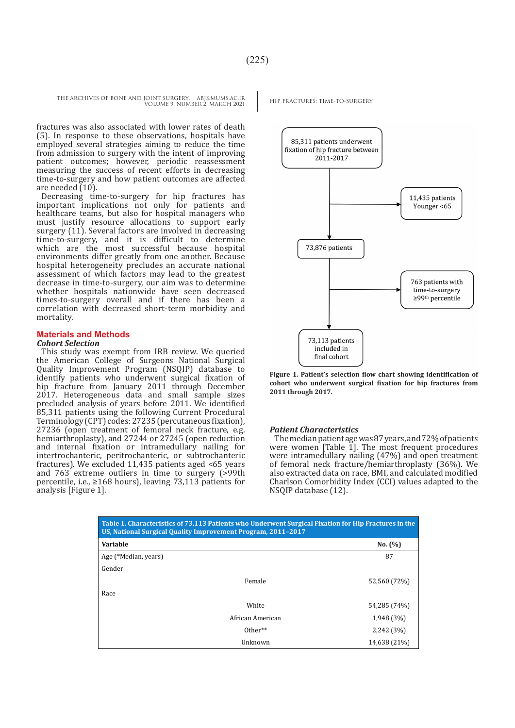THE ARCHIVES OF BONE AND JOINT SURGERY. ABJS.MUMS.AC.IR HIP FRACTURES: TIME-TO-SURGERY VOLUME 9. NUMBER 2. MARCH 2021

fractures was also associated with lower rates of death (5). In response to these observations, hospitals have employed several strategies aiming to reduce the time from admission to surgery with the intent of improving patient outcomes; however, periodic reassessment measuring the success of recent efforts in decreasing time-to-surgery and how patient outcomes are affected are needed  $(10)$ .

Decreasing time-to-surgery for hip fractures has important implications not only for patients and healthcare teams, but also for hospital managers who must justify resource allocations to support early surgery (11). Several factors are involved in decreasing time-to-surgery, and it is difficult to determine which are the most successful because hospital environments differ greatly from one another. Because hospital heterogeneity precludes an accurate national assessment of which factors may lead to the greatest decrease in time-to-surgery, our aim was to determine whether hospitals nationwide have seen decreased times-to-surgery overall and if there has been a correlation with decreased short-term morbidity and mortality.

#### **Materials and Methods**

#### *Cohort Selection*

This study was exempt from IRB review. We queried the American College of Surgeons National Surgical Quality Improvement Program (NSQIP) database to identify patients who underwent surgical fixation of hip fracture from January 2011 through December 2017. Heterogeneous data and small sample sizes precluded analysis of years before 2011. We identified 85,311 patients using the following Current Procedural Terminology (CPT) codes: 27235 (percutaneous fixation), 27236 (open treatment of femoral neck fracture, e.g. hemiarthroplasty), and 27244 or 27245 (open reduction and internal fixation or intramedullary nailing for intertrochanteric, peritrochanteric, or subtrochanteric fractures). We excluded 11,435 patients aged <65 years and 763 extreme outliers in time to surgery (>99th percentile, i.e., ≥168 hours), leaving 73,113 patients for analysis [Figure 1].



**Figure 1. Patient's selection flow chart showing identification of cohort who underwent surgical fixation for hip fractures from 2011 through 2017.**

#### *Patient Characteristics*

The median patient age was 87 years, and 72% of patients were women [Table  $\tilde{1}$ ]. The most frequent procedures were intramedullary nailing (47%) and open treatment of femoral neck fracture/hemiarthroplasty (36%). We also extracted data on race, BMI, and calculated modified Charlson Comorbidity Index (CCI) values adapted to the NSQIP database (12).

| Table 1. Characteristics of 75,115 Faticitis who onder went surgical Fixation for Hip Fractures in the<br>US, National Surgical Quality Improvement Program, 2011-2017 |                  |              |  |
|------------------------------------------------------------------------------------------------------------------------------------------------------------------------|------------------|--------------|--|
| <b>Variable</b>                                                                                                                                                        |                  | No. (%)      |  |
| Age (*Median, years)                                                                                                                                                   |                  | 87           |  |
| Gender                                                                                                                                                                 |                  |              |  |
|                                                                                                                                                                        | Female           | 52,560 (72%) |  |
| Race                                                                                                                                                                   |                  |              |  |
|                                                                                                                                                                        | White            | 54,285 (74%) |  |
|                                                                                                                                                                        | African American | 1,948 (3%)   |  |
|                                                                                                                                                                        | $Other**$        | 2,242 (3%)   |  |
|                                                                                                                                                                        | Unknown          | 14,638 (21%) |  |

**Table 1. Characteristics of 73,113 Patients who Underwent Surgical Fixation for Hip Fractures in the**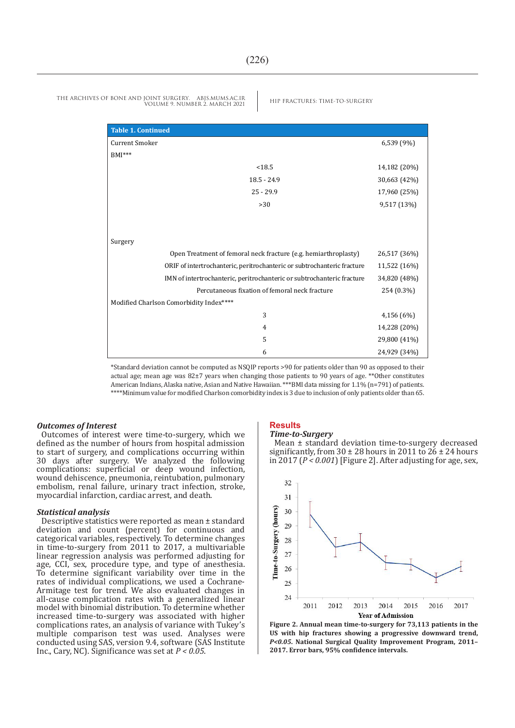| <b>Table 1. Continued</b>                                               |              |
|-------------------------------------------------------------------------|--------------|
| Current Smoker                                                          | 6,539 (9%)   |
| $BMI***$                                                                |              |
| < 18.5                                                                  | 14,182 (20%) |
| $18.5 - 24.9$                                                           | 30,663 (42%) |
| $25 - 29.9$                                                             | 17,960 (25%) |
| >30                                                                     | 9,517 (13%)  |
|                                                                         |              |
|                                                                         |              |
| Surgery                                                                 |              |
| Open Treatment of femoral neck fracture (e.g. hemiarthroplasty)         | 26,517 (36%) |
| ORIF of intertrochanteric, peritrochanteric or subtrochanteric fracture | 11,522 (16%) |
| IMN of intertrochanteric, peritrochanteric or subtrochanteric fracture  | 34,820 (48%) |
| Percutaneous fixation of femoral neck fracture                          | 254 (0.3%)   |
| Modified Charlson Comorbidity Index****                                 |              |
| 3                                                                       | 4,156 (6%)   |
| $\overline{4}$                                                          | 14,228 (20%) |
| 5                                                                       | 29,800 (41%) |
| 6                                                                       | 24,929 (34%) |

THE ARCHIVES OF BONE AND JOINT SURGERY. ABJS.MUMS.AC.IR HIP FRACTURES: TIME-TO-SURGERY VOLUME 9. NUMBER 2. MARCH 2021

\*Standard deviation cannot be computed as NSQIP reports >90 for patients older than 90 as opposed to their actual age; mean age was 82±7 years when changing those patients to 90 years of age. \*\*Other constitutes American Indians, Alaska native, Asian and Native Hawaiian. \*\*\*BMI data missing for 1.1% (n=791) of patients. \*\*\*\*Minimum value for modified Charlson comorbidity index is 3 due to inclusion of only patients older than 65.

#### *Outcomes of Interest*

Outcomes of interest were time-to-surgery, which we defined as the number of hours from hospital admission to start of surgery, and complications occurring within 30 days after surgery. We analyzed the following complications: superficial or deep wound infection, wound dehiscence, pneumonia, reintubation, pulmonary embolism, renal failure, urinary tract infection, stroke, myocardial infarction, cardiac arrest, and death.

#### *Statistical analysis*

Descriptive statistics were reported as mean ± standard deviation and count (percent) for continuous and categorical variables, respectively. To determine changes in time-to-surgery from 2011 to 2017, a multivariable linear regression analysis was performed adjusting for age, CCI, sex, procedure type, and type of anesthesia. To determine significant variability over time in the rates of individual complications, we used a Cochrane-Armitage test for trend. We also evaluated changes in all-cause complication rates with a generalized linear model with binomial distribution. To determine whether increased time-to-surgery was associated with higher complications rates, an analysis of variance with Tukey's multiple comparison test was used. Analyses were conducted using SAS, version 9.4, software (SAS Institute Inc., Cary, NC). Significance was set at *P < 0.05*.

#### **Results** *Time-to-Surgery*

Mean ± standard deviation time-to-surgery decreased significantly, from  $30 \pm 28$  hours in 2011 to  $26 \pm 24$  hours in 2017 (*P < 0.001*) [Figure 2]. After adjusting for age, sex,



**Figure 2. Annual mean time-to-surgery for 73,113 patients in the US with hip fractures showing a progressive downward trend,**  *P<0.05***. National Surgical Quality Improvement Program, 2011– 2017. Error bars, 95% confidence intervals.**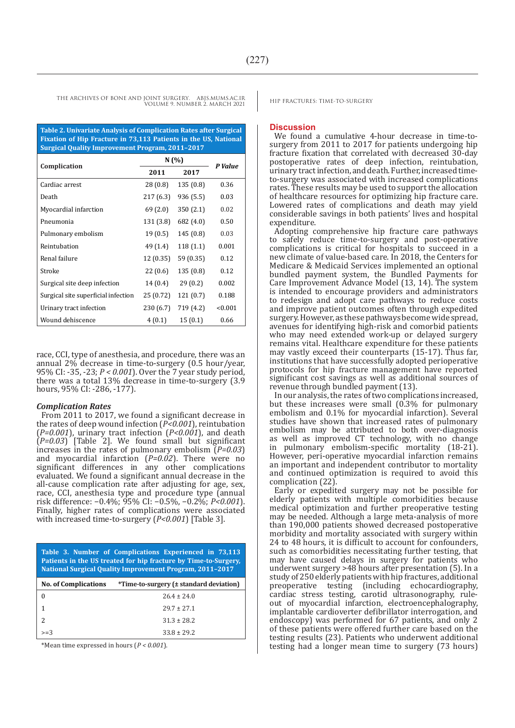THE ARCHIVES OF BONE AND JOINT SURGERY. ABJS.MUMS.AC.IR HIP FRACTURES: TIME-TO-SURGERY VOLUME 9. NUMBER 2. MARCH 2021

**Table 2. Univariate Analysis of Complication Rates after Surgical Fixation of Hip Fracture in 73,113 Patients in the US, National Surgical Quality Improvement Program, 2011–2017**

|                                     | N(%)      |           | P Value |
|-------------------------------------|-----------|-----------|---------|
| Complication                        | 2011      | 2017      |         |
| Cardiac arrest                      | 28 (0.8)  | 135(0.8)  | 0.36    |
| Death                               | 217 (6.3) | 936 (5.5) | 0.03    |
| Myocardial infarction               | 69 (2.0)  | 350(2.1)  | 0.02    |
| Pneumonia                           | 131(3.8)  | 682 (4.0) | 0.50    |
| Pulmonary embolism                  | 19(0.5)   | 145 (0.8) | 0.03    |
| Reintubation                        | 49 (1.4)  | 118 (1.1) | 0.001   |
| Renal failure                       | 12(0.35)  | 59 (0.35) | 0.12    |
| Stroke                              | 22(0.6)   | 135(0.8)  | 0.12    |
| Surgical site deep infection        | 14(0.4)   | 29(0.2)   | 0.002   |
| Surgical site superficial infection | 25 (0.72) | 121 (0.7) | 0.188   |
| Urinary tract infection             | 230 (6.7) | 719 (4.2) | < 0.001 |
| Wound dehiscence                    | 4(0.1)    | 15(0.1)   | 0.66    |

race, CCI, type of anesthesia, and procedure, there was an annual 2% decrease in time-to-surgery (0.5 hour/year, 95% CI: -35, -23; *P < 0.001*). Over the 7 year study period, there was a total 13% decrease in time-to-surgery (3.9 hours, 95% CI: -286, -177).

#### *Complication Rates*

From 2011 to 2017, we found a significant decrease in the rates of deep wound infection (*P<0.001*), reintubation (*P=0.001*), urinary tract infection (*P<0.001*), and death (*P=0.03*) [Table 2]. We found small but significant increases in the rates of pulmonary embolism (*P=0.03*) and myocardial infarction (P=0.02). There were no significant differences in any other complications evaluated. We found a significant annual decrease in the all-cause complication rate after adjusting for age, sex, race, CCI, anesthesia type and procedure type (annual risk difference: −0.4%; 95% CI: −0.5%, −0.2%; *P<0.001*). Finally, higher rates of complications were associated with increased time-to-surgery (*P<0.001*) [Table 3].

**Table 3. Number of Complications Experienced in 73,113 Patients in the US treated for hip fracture by Time-to-Surgery, National Surgical Quality Improvement Program, 2011–2017**

| <b>No. of Complications</b> | *Time-to-surgery (± standard deviation) |
|-----------------------------|-----------------------------------------|
|                             | $26.4 \pm 24.0$                         |
|                             | $29.7 + 27.1$                           |
|                             | $31.3 + 28.2$                           |
| $>=3$                       | $33.8 \pm 29.2$                         |

\*Mean time expressed in hours (*P < 0.001*).

#### **Discussion**

We found a cumulative 4-hour decrease in time-tosurgery from 2011 to 2017 for patients undergoing hip fracture fixation that correlated with decreased 30-day postoperative rates of deep infection, reintubation, urinary tract infection, and death. Further, increased timeto-surgery was associated with increased complications rates. These results may be used to support the allocation of healthcare resources for optimizing hip fracture care. Lowered rates of complications and death may yield considerable savings in both patients' lives and hospital expenditure.

Adopting comprehensive hip fracture care pathways to safely reduce time-to-surgery and post-operative complications is critical for hospitals to succeed in a new climate of value-based care. In 2018, the Centers for Medicare & Medicaid Services implemented an optional bundled payment system, the Bundled Payments for Care Improvement Advance Model (13, 14). The system is intended to encourage providers and administrators to redesign and adopt care pathways to reduce costs and improve patient outcomes often through expedited surgery. However, as these pathways become wide spread, avenues for identifying high-risk and comorbid patients who may need extended work-up or delayed surgery remains vital. Healthcare expenditure for these patients may vastly exceed their counterparts (15-17). Thus far, institutions that have successfully adopted perioperative protocols for hip fracture management have reported significant cost savings as well as additional sources of revenue through bundled payment (13).

In our analysis, the rates of two complications increased, but these increases were small (0.3% for pulmonary embolism and 0.1% for myocardial infarction). Several studies have shown that increased rates of pulmonary embolism may be attributed to both over-diagnosis as well as improved CT technology, with no change in pulmonary embolism-specific mortality (18-21). However, peri-operative myocardial infarction remains an important and independent contributor to mortality and continued optimization is required to avoid this complication (22).

Early or expedited surgery may not be possible for elderly patients with multiple comorbidities because medical optimization and further preoperative testing may be needed. Although a large meta-analysis of more than 190,000 patients showed decreased postoperative morbidity and mortality associated with surgery within 24 to 48 hours, it is difficult to account for confounders, such as comorbidities necessitating further testing, that may have caused delays in surgery for patients who underwent surgery >48 hours after presentation (5). In a study of 250 elderly patients with hip fractures, additional preoperative testing (including echocardiography, cardiac stress testing, carotid ultrasonography, ruleout of myocardial infarction, electroencephalography, implantable cardioverter defibrillator interrogation, and endoscopy) was performed for 67 patients, and only 2 of these patients were offered further care based on the testing results (23). Patients who underwent additional testing had a longer mean time to surgery (73 hours)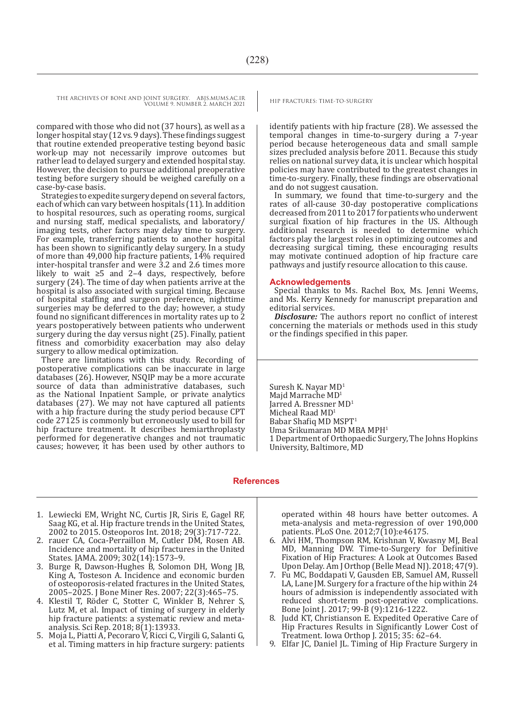THE ARCHIVES OF BONE AND JOINT SURGERY. ABJS.MUMS.AC.IR<br>HIP FRACTURES: TIME-TO-SURGERY VOLUME 9. NUMBER 2. MARCH 2021

compared with those who did not (37 hours), as well as a longer hospital stay (12 vs. 9 days). These findings suggest that routine extended preoperative testing beyond basic work-up may not necessarily improve outcomes but rather lead to delayed surgery and extended hospital stay. However, the decision to pursue additional preoperative testing before surgery should be weighed carefully on a case-by-case basis.

Strategies to expedite surgery depend on several factors, each of which can vary between hospitals (11). In addition to hospital resources, such as operating rooms, surgical and nursing staff, medical specialists, and laboratory/ imaging tests, other factors may delay time to surgery. For example, transferring patients to another hospital has been shown to significantly delay surgery. In a study of more than 49,000 hip fracture patients, 14% required inter-hospital transfer and were 3.2 and 2.6 times more likely to wait ≥5 and 2–4 days, respectively, before surgery (24). The time of day when patients arrive at the hospital is also associated with surgical timing. Because of hospital staffing and surgeon preference, nighttime surgeries may be deferred to the day; however, a study found no significant differences in mortality rates up to 2 years postoperatively between patients who underwent surgery during the day versus night (25). Finally, patient fitness and comorbidity exacerbation may also delay surgery to allow medical optimization.

There are limitations with this study. Recording of postoperative complications can be inaccurate in large databases (26). However, NSQIP may be a more accurate source of data than administrative databases, such as the National Inpatient Sample, or private analytics databases (27). We may not have captured all patients with a hip fracture during the study period because CPT code 27125 is commonly but erroneously used to bill for hip fracture treatment. It describes hemiarthroplasty performed for degenerative changes and not traumatic causes; however, it has been used by other authors to

identify patients with hip fracture (28). We assessed the temporal changes in time-to-surgery during a 7-year period because heterogeneous data and small sample sizes precluded analysis before 2011. Because this study relies on national survey data, it is unclear which hospital policies may have contributed to the greatest changes in time-to-surgery. Finally, these findings are observational and do not suggest causation.

In summary, we found that time-to-surgery and the rates of all-cause 30-day postoperative complications decreased from 2011 to 2017 for patients who underwent surgical fixation of hip fractures in the US. Although additional research is needed to determine which factors play the largest roles in optimizing outcomes and decreasing surgical timing, these encouraging results may motivate continued adoption of hip fracture care pathways and justify resource allocation to this cause.

#### **Acknowledgements**

Special thanks to Ms. Rachel Box, Ms. Jenni Weems, and Ms. Kerry Kennedy for manuscript preparation and editorial services.

**Disclosure:** The authors report no conflict of interest concerning the materials or methods used in this study or the findings specified in this paper.

Suresh K. Nayar MD<sup>1</sup> Maid Marrache MD<sup>1</sup> Jarred A. Bressner MD<sup>1</sup> Micheal Raad MD<sup>1</sup> Babar Shafiq MD MSPT<sup>1</sup> Uma Srikumaran MD MBA MPH<sup>1</sup> 1 Department of Orthopaedic Surgery, The Johns Hopkins University, Baltimore, MD

#### **References**

- 1. Lewiecki EM, Wright NC, Curtis JR, Siris E, Gagel RF, Saag KG, et al. Hip fracture trends in the United States, 2002 to 2015. Osteoporos Int. 2018; 29(3):717-722.
- 2. rauer CA, Coca-Perraillon M, Cutler DM, Rosen AB. Incidence and mortality of hip fractures in the United States. JAMA. 2009; 302(14):1573–9.
- 3. Burge R, Dawson-Hughes B, Solomon DH, Wong JB, King A, Tosteson A. Incidence and economic burden of osteoporosis-related fractures in the United States, 2005–2025. J Bone Miner Res. 2007; 22(3):465–75.
- 4. Klestil T, Röder C, Stotter C, Winkler B, Nehrer S, Lutz M, et al. Impact of timing of surgery in elderly hip fracture patients: a systematic review and metaanalysis. Sci Rep. 2018; 8(1):13933.
- 5. Moja L, Piatti A, Pecoraro V, Ricci C, Virgili G, Salanti G, et al. Timing matters in hip fracture surgery: patients

operated within 48 hours have better outcomes. A meta-analysis and meta-regression of over 190,000 patients. PLoS One. 2012;7(10):e46175.

- 6. Alvi HM, Thompson RM, Krishnan V, Kwasny MJ, Beal MD, Manning DW. Time-to-Surgery for Definitive Fixation of Hip Fractures: A Look at Outcomes Based Upon Delay. Am J Orthop (Belle Mead NJ). 2018; 47(9).
- 7. Fu MC, Boddapati V, Gausden EB, Samuel AM, Russell LA, Lane JM. Surgery for a fracture of the hip within 24 hours of admission is independently associated with reduced short-term post-operative complications. Bone Joint J. 2017; 99-B (9):1216-1222.
- 8. Judd KT, Christianson E. Expedited Operative Care of Hip Fractures Results in Significantly Lower Cost of Treatment. Iowa Orthop J. 2015; 35: 62–64.
- 9. Elfar JC, Daniel JL. Timing of Hip Fracture Surgery in